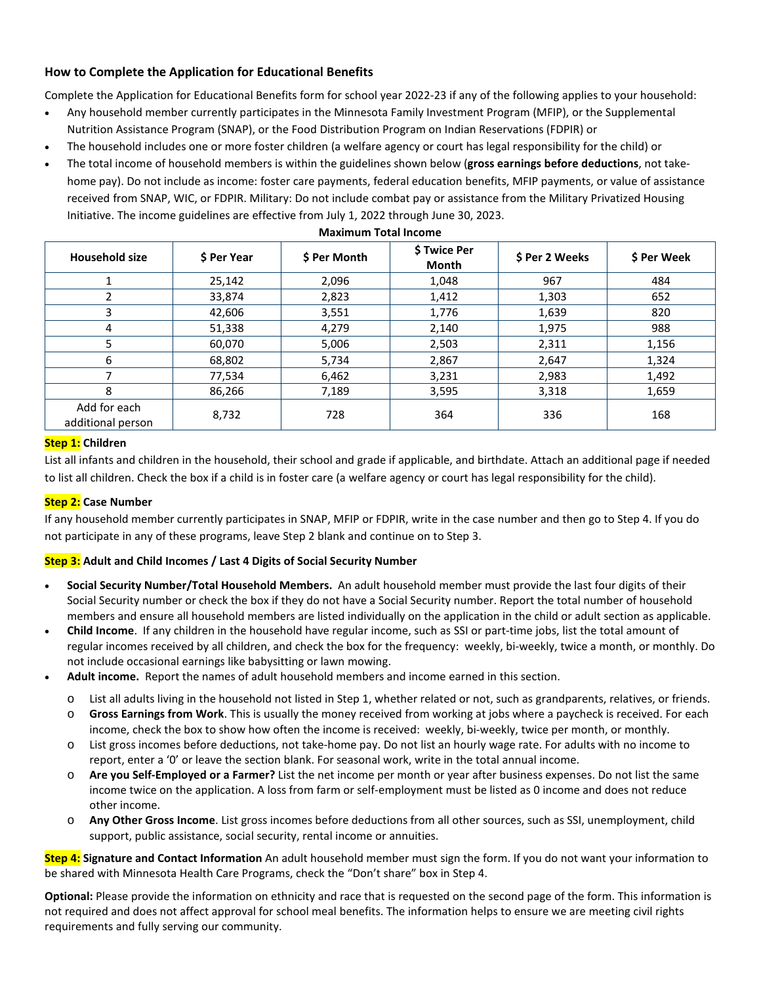## **How to Complete the Application for Educational Benefits**

Complete the Application for Educational Benefits form for school year 2022-23 if any of the following applies to your household:

- Any household member currently participates in the Minnesota Family Investment Program (MFIP), or the Supplemental Nutrition Assistance Program (SNAP), or the Food Distribution Program on Indian Reservations (FDPIR) or
- The household includes one or more foster children (a welfare agency or court has legal responsibility for the child) or
- The total income of household members is within the guidelines shown below (**gross earnings before deductions**, not takehome pay). Do not include as income: foster care payments, federal education benefits, MFIP payments, or value of assistance received from SNAP, WIC, or FDPIR. Military: Do not include combat pay or assistance from the Military Privatized Housing Initiative. The income guidelines are effective from July 1, 2022 through June 30, 2023.

| <b>Household size</b>             | \$ Per Year | \$ Per Month | \$ Twice Per<br>Month | \$ Per 2 Weeks | \$ Per Week |
|-----------------------------------|-------------|--------------|-----------------------|----------------|-------------|
|                                   | 25,142      | 2,096        | 1,048                 | 967            | 484         |
|                                   | 33,874      | 2,823        | 1,412                 | 1,303          | 652         |
| 3                                 | 42,606      | 3,551        | 1,776                 | 1,639          | 820         |
| 4                                 | 51,338      | 4,279        | 2,140                 | 1,975          | 988         |
| 5                                 | 60,070      | 5,006        | 2,503                 | 2,311          | 1,156       |
| 6                                 | 68,802      | 5,734        | 2,867                 | 2,647          | 1,324       |
|                                   | 77,534      | 6,462        | 3,231                 | 2,983          | 1,492       |
| 8                                 | 86,266      | 7,189        | 3,595                 | 3,318          | 1,659       |
| Add for each<br>additional person | 8,732       | 728          | 364                   | 336            | 168         |

### **Maximum Total Income**

## **Step 1: Children**

List all infants and children in the household, their school and grade if applicable, and birthdate. Attach an additional page if needed to list all children. Check the box if a child is in foster care (a welfare agency or court has legal responsibility for the child).

## **Step 2: Case Number**

If any household member currently participates in SNAP, MFIP or FDPIR, write in the case number and then go to Step 4. If you do not participate in any of these programs, leave Step 2 blank and continue on to Step 3.

## **Step 3: Adult and Child Incomes / Last 4 Digits of Social Security Number**

- **Social Security Number/Total Household Members.** An adult household member must provide the last four digits of their Social Security number or check the box if they do not have a Social Security number. Report the total number of household members and ensure all household members are listed individually on the application in the child or adult section as applicable.
- **Child Income**. If any children in the household have regular income, such as SSI or part-time jobs, list the total amount of regular incomes received by all children, and check the box for the frequency: weekly, bi-weekly, twice a month, or monthly. Do not include occasional earnings like babysitting or lawn mowing.
- **Adult income.** Report the names of adult household members and income earned in this section.
	- o List all adults living in the household not listed in Step 1, whether related or not, such as grandparents, relatives, or friends.
	- o **Gross Earnings from Work**. This is usually the money received from working at jobs where a paycheck is received. For each income, check the box to show how often the income is received: weekly, bi-weekly, twice per month, or monthly.
	- o List gross incomes before deductions, not take-home pay. Do not list an hourly wage rate. For adults with no income to report, enter a '0' or leave the section blank. For seasonal work, write in the total annual income.
	- o **Are you Self-Employed or a Farmer?** List the net income per month or year after business expenses. Do not list the same income twice on the application. A loss from farm or self-employment must be listed as 0 income and does not reduce other income.
	- o **Any Other Gross Income**. List gross incomes before deductions from all other sources, such as SSI, unemployment, child support, public assistance, social security, rental income or annuities.

**Step 4: Signature and Contact Information** An adult household member must sign the form. If you do not want your information to be shared with Minnesota Health Care Programs, check the "Don't share" box in Step 4.

**Optional:** Please provide the information on ethnicity and race that is requested on the second page of the form. This information is not required and does not affect approval for school meal benefits. The information helps to ensure we are meeting civil rights requirements and fully serving our community.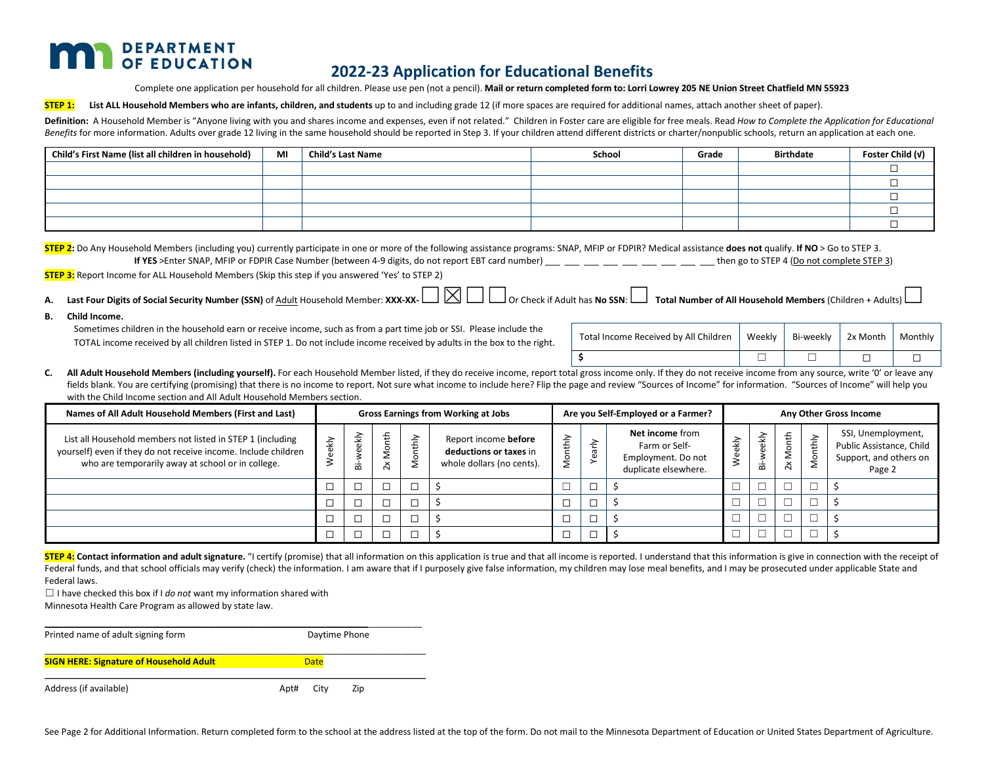## **DEPARTMENT** OF EDUCATION

# **2022-23 Application for Educational Benefits**

Complete one application per household for all children. Please use pen (not a pencil). **Mail or return completed form to: Lorri Lowrey 205 NE Union Street Chatfield MN 55923**

**STEP 1:** List ALL Household Members who are infants, children, and students up to and including grade 12 (if more spaces are required for additional names, attach another sheet of paper).

Definition: A Household Member is "Anyone living with you and shares income and expenses, even if not related." Children in Foster care are eligible for free meals. Read How to Complete the Application for Educational Benefits for more information. Adults over grade 12 living in the same household should be reported in Step 3. If your children attend different districts or charter/nonpublic schools, return an application at each one.

| Child's First Name (list all children in household) | MI | <b>Child's Last Name</b> | School | Grade | <b>Birthdate</b> | Foster Child (v) |
|-----------------------------------------------------|----|--------------------------|--------|-------|------------------|------------------|
|                                                     |    |                          |        |       |                  |                  |
|                                                     |    |                          |        |       |                  |                  |
|                                                     |    |                          |        |       |                  |                  |
|                                                     |    |                          |        |       |                  |                  |
|                                                     |    |                          |        |       |                  |                  |

**STEP 2:** Do Any Household Members (including you) currently participate in one or more of the following assistance programs: SNAP, MFIP or FDPIR? Medical assistance **does not** qualify. **If NO** > Go to STEP 3.

**If YES** >Enter SNAP, MFIP or FDPIR Case Number (between 4-9 digits, do not report EBT card number) then go to STEP 4 (Do not complete STEP 3)

**STEP 3:** Report Income for ALL Household Members (Skip this step if you answered 'Yes' to STEP 2)

- **A. Last Four Digits of Social Security Number (SSN)** of Adult Household Member: **XXX-XX-**☐☒☐☐Or Check if Adult has **No SSN**:☐ **Total Number of All Household Members** (Children + Adults)☐
- **B. Child Income.**

Sometimes children in the household earn or receive income, such as from a part time job or SSI. Please include the TOTAL income received by all children listed in STEP 1. Do not include income received by adults in the box to the right.

| Total Income Received by All Children   Weekly   Bi-weekly   2x Month   Monthly |  |  |
|---------------------------------------------------------------------------------|--|--|
|                                                                                 |  |  |

C. All Adult Household Members (including yourself). For each Household Member listed, if they do receive income, report total gross income only. If they do not receive income from any source, write '0' or leave any fields blank. You are certifying (promising) that there is no income to report. Not sure what income to include here? Flip the page and review "Sources of Income" for information. "Sources of Income" will help you with the Child Income section and All Adult Household Members section.

| Names of All Adult Household Members (First and Last)                                                                                                                             | <b>Gross Earnings from Working at Jobs</b> |                | Are you Self-Employed or a Farmer? |                  |                                                                             | Any Other Gross Income |                                             |                                                                                       |      |            |          |       |                                                                                    |
|-----------------------------------------------------------------------------------------------------------------------------------------------------------------------------------|--------------------------------------------|----------------|------------------------------------|------------------|-----------------------------------------------------------------------------|------------------------|---------------------------------------------|---------------------------------------------------------------------------------------|------|------------|----------|-------|------------------------------------------------------------------------------------|
| List all Household members not listed in STEP 1 (including<br>yourself) even if they do not receive income. Include children<br>who are temporarily away at school or in college. | eekly                                      | eekly<br>ä     | ŧ<br>$\times$                      | $\geq$<br>⇆<br>Ž | Report income before<br>deductions or taxes in<br>whole dollars (no cents). | ੇ                      | 즌<br>$\bar{\sigma}$<br>$\tilde{\mathbf{e}}$ | <b>Net income from</b><br>Farm or Self-<br>Employment. Do not<br>duplicate elsewhere. | ekly | eekly<br>ä | 2x Month | uthly | SSI, Unemployment,<br>Public Assistance, Child<br>Support, and others on<br>Page 2 |
|                                                                                                                                                                                   |                                            | $\overline{ }$ |                                    |                  |                                                                             |                        |                                             |                                                                                       |      |            |          |       |                                                                                    |
|                                                                                                                                                                                   |                                            |                |                                    |                  |                                                                             |                        |                                             |                                                                                       |      |            |          |       |                                                                                    |
|                                                                                                                                                                                   |                                            | −              |                                    |                  |                                                                             |                        |                                             |                                                                                       |      |            |          |       |                                                                                    |
|                                                                                                                                                                                   |                                            | ┍              |                                    |                  |                                                                             |                        |                                             |                                                                                       |      |            |          |       |                                                                                    |

STEP 4: Contact information and adult signature. "I certify (promise) that all information on this application is true and that all income is reported. I understand that this information is give in connection with the rece Federal funds, and that school officials may verify (check) the information. I am aware that if I purposely give false information, my children may lose meal benefits, and I may be prosecuted under applicable State and Federal laws.

 $\Box$  I have checked this box if I *do not* want my information shared with

Minnesota Health Care Program as allowed by state law.

| Printed name of adult signing form             | Daytime Phone       |  |  |  |  |
|------------------------------------------------|---------------------|--|--|--|--|
| <b>SIGN HERE: Signature of Household Adult</b> | <b>Date</b>         |  |  |  |  |
| Address (if available)                         | City<br>Apt#<br>Zip |  |  |  |  |

See Page 2 for Additional Information. Return completed form to the school at the address listed at the top of the form. Do not mail to the Minnesota Department of Education or United States Department of Agriculture.